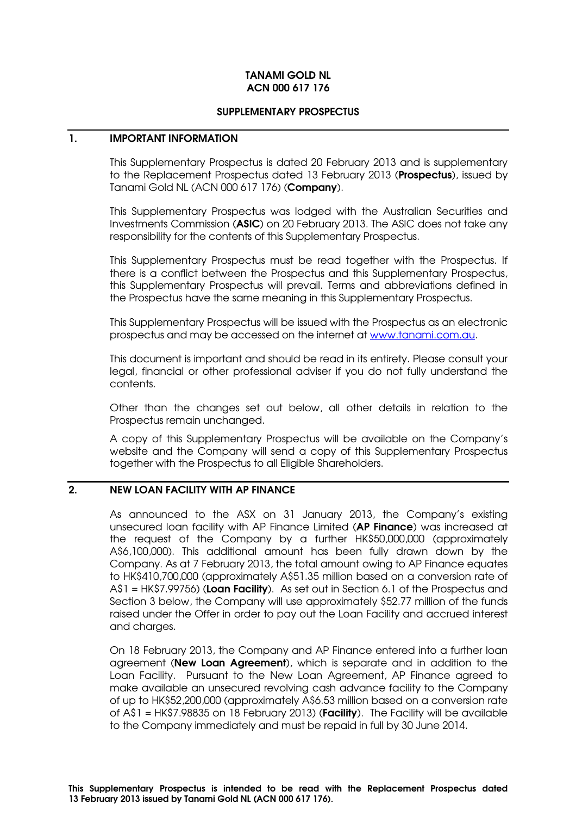## TANAMI GOLD NL ACN 000 617 176

#### SUPPLEMENTARY PROSPECTUS

### 1. IMPORTANT INFORMATION

This Supplementary Prospectus is dated 20 February 2013 and is supplementary to the Replacement Prospectus dated 13 February 2013 (Prospectus), issued by Tanami Gold NL (ACN 000 617 176) (Company).

This Supplementary Prospectus was lodged with the Australian Securities and Investments Commission (ASIC) on 20 February 2013. The ASIC does not take any responsibility for the contents of this Supplementary Prospectus.

This Supplementary Prospectus must be read together with the Prospectus. If there is a conflict between the Prospectus and this Supplementary Prospectus, this Supplementary Prospectus will prevail. Terms and abbreviations defined in the Prospectus have the same meaning in this Supplementary Prospectus.

This Supplementary Prospectus will be issued with the Prospectus as an electronic prospectus and may be accessed on the internet at www.tanami.com.au.

This document is important and should be read in its entirety. Please consult your legal, financial or other professional adviser if you do not fully understand the contents.

Other than the changes set out below, all other details in relation to the Prospectus remain unchanged.

A copy of this Supplementary Prospectus will be available on the Company's website and the Company will send a copy of this Supplementary Prospectus together with the Prospectus to all Eligible Shareholders.

# 2. NEW LOAN FACILITY WITH AP FINANCE

As announced to the ASX on 31 January 2013, the Company's existing unsecured loan facility with AP Finance Limited (AP Finance) was increased at the request of the Company by a further HK\$50,000,000 (approximately A\$6,100,000). This additional amount has been fully drawn down by the Company. As at 7 February 2013, the total amount owing to AP Finance equates to HK\$410,700,000 (approximately A\$51.35 million based on a conversion rate of A\$1 = HK\$7.99756) (Loan Facility). As set out in Section 6.1 of the Prospectus and Section 3 below, the Company will use approximately \$52.77 million of the funds raised under the Offer in order to pay out the Loan Facility and accrued interest and charges.

On 18 February 2013, the Company and AP Finance entered into a further loan agreement (New Loan Agreement), which is separate and in addition to the Loan Facility. Pursuant to the New Loan Agreement, AP Finance agreed to make available an unsecured revolving cash advance facility to the Company of up to HK\$52,200,000 (approximately A\$6.53 million based on a conversion rate of A\$1 = HK\$7.98835 on 18 February 2013) (Facility). The Facility will be available to the Company immediately and must be repaid in full by 30 June 2014.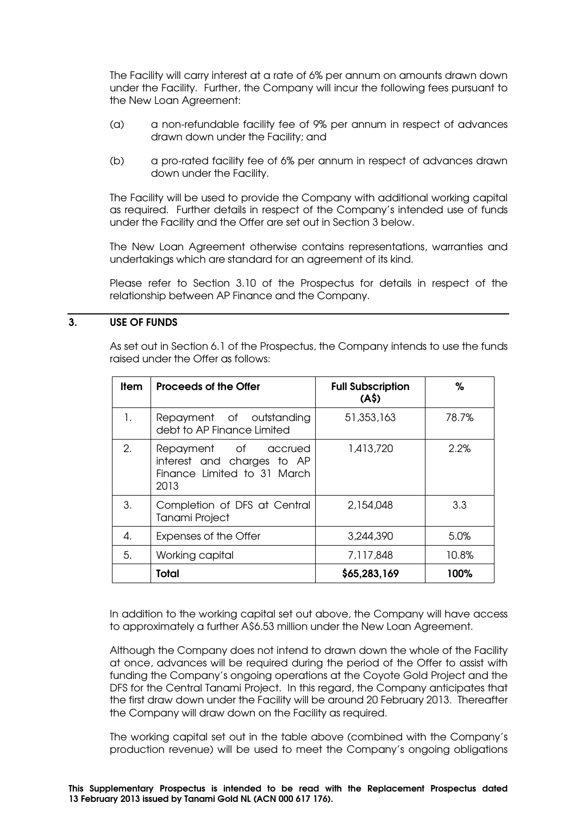The Facility will carry interest at a rate of 6% per annum on amounts drawn down under the Facility. Further, the Company will incur the following fees pursuant to the New Loan Agreement:

- (a) a non-refundable facility fee of 9% per annum in respect of advances drawn down under the Facility; and
- (b) a pro-rated facility fee of 6% per annum in respect of advances drawn down under the Facility.

The Facility will be used to provide the Company with additional working capital as required. Further details in respect of the Company's intended use of funds under the Facility and the Offer are set out in Section 3 below.

The New Loan Agreement otherwise contains representations, warranties and undertakings which are standard for an agreement of its kind.

Please refer to Section 3.10 of the Prospectus for details in respect of the relationship between AP Finance and the Company.

# 3. USE OF FUNDS

As set out in Section 6.1 of the Prospectus, the Company intends to use the funds raised under the Offer as follows:

| ltem | <b>Proceeds of the Offer</b>                                                              | <b>Full Subscription</b><br>(A <sup>5</sup> ) | %     |
|------|-------------------------------------------------------------------------------------------|-----------------------------------------------|-------|
| 1.   | Repayment of outstanding<br>debt to AP Finance Limited                                    | 51,353,163                                    | 78.7% |
| 2.   | Repayment of accrued<br>interest and charges to AP<br>Finance Limited to 31 March<br>2013 | 1,413,720                                     | 2.2%  |
| 3.   | Completion of DFS at Central<br>Tanami Project                                            | 2,154,048                                     | 3.3   |
| 4.   | <b>Expenses of the Offer</b>                                                              | 3,244,390                                     | 5.0%  |
| 5.   | Working capital                                                                           | 7,117,848                                     | 10.8% |
|      | Total                                                                                     | \$65,283,169                                  | 100%  |

In addition to the working capital set out above, the Company will have access to approximately a further A\$6.53 million under the New Loan Agreement.

Although the Company does not intend to drawn down the whole of the Facility at once, advances will be required during the period of the Offer to assist with funding the Company's ongoing operations at the Coyote Gold Project and the DFS for the Central Tanami Project. In this regard, the Company anticipates that the first draw down under the Facility will be around 20 February 2013. Thereafter the Company will draw down on the Facility as required.

The working capital set out in the table above (combined with the Company's production revenue) will be used to meet the Company's ongoing obligations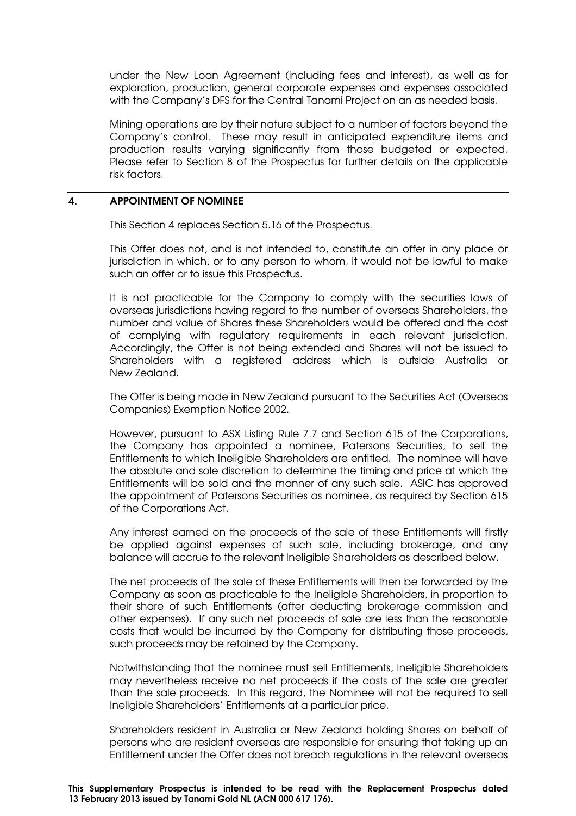under the New Loan Agreement (including fees and interest), as well as for exploration, production, general corporate expenses and expenses associated with the Company's DFS for the Central Tanami Project on an as needed basis.

Mining operations are by their nature subject to a number of factors beyond the Company's control. These may result in anticipated expenditure items and production results varying significantly from those budgeted or expected. Please refer to Section 8 of the Prospectus for further details on the applicable risk factors.

# 4. APPOINTMENT OF NOMINEE

This Section 4 replaces Section 5.16 of the Prospectus.

This Offer does not, and is not intended to, constitute an offer in any place or jurisdiction in which, or to any person to whom, it would not be lawful to make such an offer or to issue this Prospectus.

It is not practicable for the Company to comply with the securities laws of overseas jurisdictions having regard to the number of overseas Shareholders, the number and value of Shares these Shareholders would be offered and the cost of complying with regulatory requirements in each relevant jurisdiction. Accordingly, the Offer is not being extended and Shares will not be issued to Shareholders with a registered address which is outside Australia or New Zealand.

The Offer is being made in New Zealand pursuant to the Securities Act (Overseas Companies) Exemption Notice 2002.

However, pursuant to ASX Listing Rule 7.7 and Section 615 of the Corporations, the Company has appointed a nominee, Patersons Securities, to sell the Entitlements to which Ineligible Shareholders are entitled. The nominee will have the absolute and sole discretion to determine the timing and price at which the Entitlements will be sold and the manner of any such sale. ASIC has approved the appointment of Patersons Securities as nominee, as required by Section 615 of the Corporations Act.

Any interest earned on the proceeds of the sale of these Entitlements will firstly be applied against expenses of such sale, including brokerage, and any balance will accrue to the relevant Ineligible Shareholders as described below.

The net proceeds of the sale of these Entitlements will then be forwarded by the Company as soon as practicable to the Ineligible Shareholders, in proportion to their share of such Entitlements (after deducting brokerage commission and other expenses). If any such net proceeds of sale are less than the reasonable costs that would be incurred by the Company for distributing those proceeds, such proceeds may be retained by the Company.

Notwithstanding that the nominee must sell Entitlements, Ineligible Shareholders may nevertheless receive no net proceeds if the costs of the sale are greater than the sale proceeds. In this regard, the Nominee will not be required to sell Ineligible Shareholders' Entitlements at a particular price.

Shareholders resident in Australia or New Zealand holding Shares on behalf of persons who are resident overseas are responsible for ensuring that taking up an Entitlement under the Offer does not breach regulations in the relevant overseas